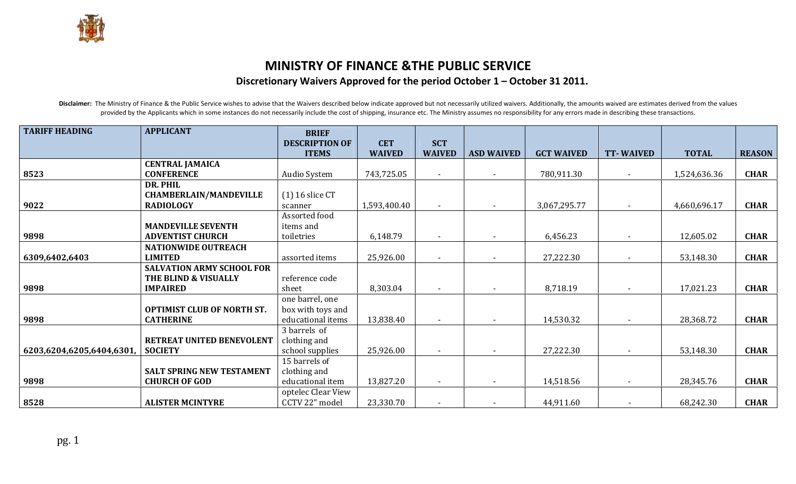## MINISTRY OF FINANCE &THE PUBLIC SERVICE Discretionary Waivers Approved for the period October 1 – October 31 2011.

Disclaimer: The Ministry of Finance & the Public Service wishes to advise that the Waivers described below indicate approved but not necessarily utilized waivers. Additionally, the amounts waived are estimates derived from provided by the Applicants which in some instances do not necessarily include the cost of shipping, insurance etc. The Ministry assumes no responsibility for any errors made in describing these transactions.

| <b>TARIFF HEADING</b>     | <b>APPLICANT</b>                  | <b>BRIEF</b>          |               |                |                   |                   |                          |              |               |
|---------------------------|-----------------------------------|-----------------------|---------------|----------------|-------------------|-------------------|--------------------------|--------------|---------------|
|                           |                                   | <b>DESCRIPTION OF</b> | <b>CET</b>    | <b>SCT</b>     |                   |                   |                          |              |               |
|                           |                                   | <b>ITEMS</b>          | <b>WAIVED</b> | <b>WAIVED</b>  | <b>ASD WAIVED</b> | <b>GCT WAIVED</b> | <b>TT-WAIVED</b>         | <b>TOTAL</b> | <b>REASON</b> |
|                           | <b>CENTRAL JAMAICA</b>            |                       |               |                |                   |                   |                          |              |               |
| 8523                      | <b>CONFERENCE</b>                 | Audio System          | 743,725.05    |                |                   | 780,911.30        |                          | 1,524,636.36 | <b>CHAR</b>   |
|                           | DR. PHIL                          |                       |               |                |                   |                   |                          |              |               |
|                           | <b>CHAMBERLAIN/MANDEVILLE</b>     | $(1)$ 16 slice CT     |               |                |                   |                   |                          |              |               |
| 9022                      | <b>RADIOLOGY</b>                  | scanner               | 1,593,400.40  |                |                   | 3,067,295.77      | $\sim$                   | 4,660,696.17 | <b>CHAR</b>   |
|                           |                                   | Assorted food         |               |                |                   |                   |                          |              |               |
|                           | <b>MANDEVILLE SEVENTH</b>         | items and             |               |                |                   |                   |                          |              |               |
| 9898                      | <b>ADVENTIST CHURCH</b>           | toiletries            | 6,148.79      |                |                   | 6,456.23          | $\sim$                   | 12,605.02    | <b>CHAR</b>   |
|                           | <b>NATIONWIDE OUTREACH</b>        |                       |               |                |                   |                   |                          |              |               |
| 6309,6402,6403            | <b>LIMITED</b>                    | assorted items        | 25,926.00     |                |                   | 27,222.30         |                          | 53,148.30    | <b>CHAR</b>   |
|                           | <b>SALVATION ARMY SCHOOL FOR</b>  |                       |               |                |                   |                   |                          |              |               |
|                           | THE BLIND & VISUALLY              | reference code        |               |                |                   |                   |                          |              |               |
| 9898                      | <b>IMPAIRED</b>                   | sheet                 | 8,303.04      |                |                   | 8,718.19          | $\sim$                   | 17,021.23    | <b>CHAR</b>   |
|                           |                                   | one barrel, one       |               |                |                   |                   |                          |              |               |
|                           | <b>OPTIMIST CLUB OF NORTH ST.</b> | box with toys and     |               |                |                   |                   |                          |              |               |
| 9898                      | <b>CATHERINE</b>                  | educational items     | 13,838.40     |                |                   | 14,530.32         | $\sim$                   | 28,368.72    | <b>CHAR</b>   |
|                           |                                   | 3 barrels of          |               |                |                   |                   |                          |              |               |
|                           | RETREAT UNITED BENEVOLENT         | clothing and          |               |                |                   |                   |                          |              |               |
| 6203,6204,6205,6404,6301, | <b>SOCIETY</b>                    | school supplies       | 25,926.00     | $\blacksquare$ |                   | 27,222.30         | $\sim$                   | 53,148.30    | <b>CHAR</b>   |
|                           |                                   | 15 barrels of         |               |                |                   |                   |                          |              |               |
|                           | <b>SALT SPRING NEW TESTAMENT</b>  | clothing and          |               |                |                   |                   |                          |              |               |
| 9898                      | <b>CHURCH OF GOD</b>              | educational item      | 13,827.20     | $\sim$         |                   | 14,518.56         | $\overline{\phantom{a}}$ | 28,345.76    | <b>CHAR</b>   |
|                           |                                   | optelec Clear View    |               |                |                   |                   |                          |              |               |
| 8528                      | <b>ALISTER MCINTYRE</b>           | CCTV 22" model        | 23,330.70     |                |                   | 44,911.60         |                          | 68,242.30    | <b>CHAR</b>   |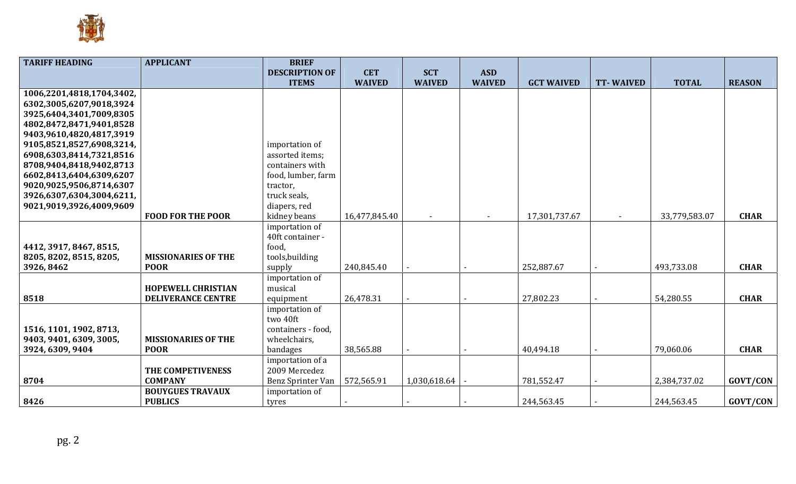

| <b>TARIFF HEADING</b>     | <b>APPLICANT</b>           | <b>BRIEF</b>          |               |               |               |                   |                  |               |                 |
|---------------------------|----------------------------|-----------------------|---------------|---------------|---------------|-------------------|------------------|---------------|-----------------|
|                           |                            | <b>DESCRIPTION OF</b> | <b>CET</b>    | <b>SCT</b>    | <b>ASD</b>    |                   |                  |               |                 |
|                           |                            | <b>ITEMS</b>          | <b>WAIVED</b> | <b>WAIVED</b> | <b>WAIVED</b> | <b>GCT WAIVED</b> | <b>TT-WAIVED</b> | <b>TOTAL</b>  | <b>REASON</b>   |
| 1006,2201,4818,1704,3402, |                            |                       |               |               |               |                   |                  |               |                 |
| 6302,3005,6207,9018,3924  |                            |                       |               |               |               |                   |                  |               |                 |
| 3925,6404,3401,7009,8305  |                            |                       |               |               |               |                   |                  |               |                 |
| 4802,8472,8471,9401,8528  |                            |                       |               |               |               |                   |                  |               |                 |
| 9403,9610,4820,4817,3919  |                            |                       |               |               |               |                   |                  |               |                 |
| 9105,8521,8527,6908,3214, |                            | importation of        |               |               |               |                   |                  |               |                 |
| 6908,6303,8414,7321,8516  |                            | assorted items;       |               |               |               |                   |                  |               |                 |
| 8708,9404,8418,9402,8713  |                            | containers with       |               |               |               |                   |                  |               |                 |
| 6602,8413,6404,6309,6207  |                            | food, lumber, farm    |               |               |               |                   |                  |               |                 |
| 9020,9025,9506,8714,6307  |                            | tractor,              |               |               |               |                   |                  |               |                 |
| 3926,6307,6304,3004,6211, |                            | truck seals,          |               |               |               |                   |                  |               |                 |
| 9021,9019,3926,4009,9609  |                            | diapers, red          |               |               |               |                   |                  |               |                 |
|                           | <b>FOOD FOR THE POOR</b>   | kidney beans          | 16,477,845.40 | $\sim$        | $\sim$        | 17,301,737.67     |                  | 33,779,583.07 | <b>CHAR</b>     |
|                           |                            | importation of        |               |               |               |                   |                  |               |                 |
|                           |                            | 40ft container -      |               |               |               |                   |                  |               |                 |
| 4412, 3917, 8467, 8515,   |                            | food,                 |               |               |               |                   |                  |               |                 |
| 8205, 8202, 8515, 8205,   | <b>MISSIONARIES OF THE</b> | tools, building       |               |               |               |                   |                  |               |                 |
| 3926, 8462                | <b>POOR</b>                | supply                | 240,845.40    |               |               | 252,887.67        |                  | 493,733.08    | <b>CHAR</b>     |
|                           |                            | importation of        |               |               |               |                   |                  |               |                 |
|                           | <b>HOPEWELL CHRISTIAN</b>  | musical               |               |               |               |                   |                  |               |                 |
| 8518                      | <b>DELIVERANCE CENTRE</b>  | equipment             | 26,478.31     |               |               | 27,802.23         |                  | 54,280.55     | <b>CHAR</b>     |
|                           |                            | importation of        |               |               |               |                   |                  |               |                 |
|                           |                            | two 40ft              |               |               |               |                   |                  |               |                 |
| 1516, 1101, 1902, 8713,   |                            | containers - food,    |               |               |               |                   |                  |               |                 |
| 9403, 9401, 6309, 3005,   | <b>MISSIONARIES OF THE</b> | wheelchairs,          |               |               |               |                   |                  |               |                 |
| 3924, 6309, 9404          | <b>POOR</b>                | bandages              | 38,565.88     |               |               | 40,494.18         |                  | 79,060.06     | <b>CHAR</b>     |
|                           |                            | importation of a      |               |               |               |                   |                  |               |                 |
|                           | THE COMPETIVENESS          | 2009 Mercedez         |               |               |               |                   |                  |               |                 |
| 8704                      | <b>COMPANY</b>             | Benz Sprinter Van     | 572,565.91    | 1,030,618.64  |               | 781,552.47        |                  | 2,384,737.02  | GOVT/CON        |
|                           | <b>BOUYGUES TRAVAUX</b>    | importation of        |               |               |               |                   |                  |               |                 |
| 8426                      | <b>PUBLICS</b>             | tyres                 |               |               |               | 244,563.45        |                  | 244,563.45    | <b>GOVT/CON</b> |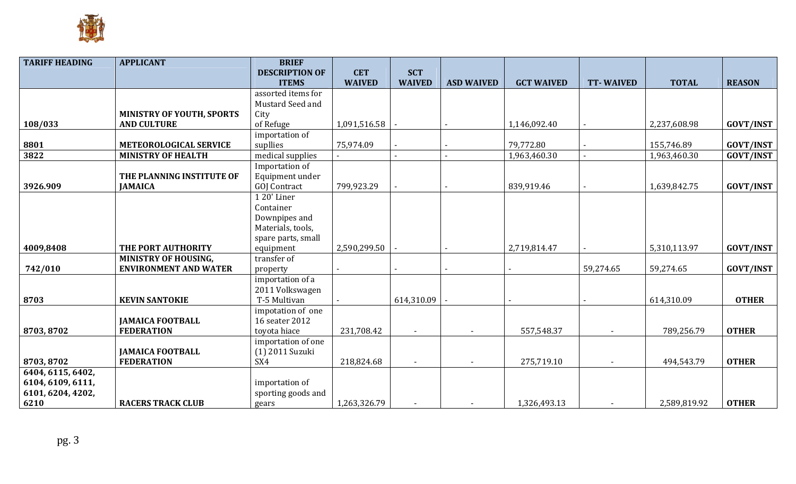

| <b>TARIFF HEADING</b> | <b>APPLICANT</b>                 | <b>BRIEF</b>          |               |               |                   |                   |                  |              |                  |
|-----------------------|----------------------------------|-----------------------|---------------|---------------|-------------------|-------------------|------------------|--------------|------------------|
|                       |                                  | <b>DESCRIPTION OF</b> | <b>CET</b>    | <b>SCT</b>    |                   |                   |                  |              |                  |
|                       |                                  | <b>ITEMS</b>          | <b>WAIVED</b> | <b>WAIVED</b> | <b>ASD WAIVED</b> | <b>GCT WAIVED</b> | <b>TT-WAIVED</b> | <b>TOTAL</b> | <b>REASON</b>    |
|                       |                                  | assorted items for    |               |               |                   |                   |                  |              |                  |
|                       |                                  | Mustard Seed and      |               |               |                   |                   |                  |              |                  |
|                       | <b>MINISTRY OF YOUTH, SPORTS</b> | City                  |               |               |                   |                   |                  |              |                  |
| 108/033               | <b>AND CULTURE</b>               | of Refuge             | 1,091,516.58  |               |                   | 1,146,092.40      |                  | 2,237,608.98 | <b>GOVT/INST</b> |
|                       |                                  | importation of        |               |               |                   |                   |                  |              |                  |
| 8801                  | <b>METEOROLOGICAL SERVICE</b>    | supllies              | 75,974.09     |               |                   | 79,772.80         |                  | 155,746.89   | <b>GOVT/INST</b> |
| 3822                  | <b>MINISTRY OF HEALTH</b>        | medical supplies      |               |               |                   | 1,963,460.30      |                  | 1,963,460.30 | <b>GOVT/INST</b> |
|                       |                                  | Importation of        |               |               |                   |                   |                  |              |                  |
|                       | THE PLANNING INSTITUTE OF        | Equipment under       |               |               |                   |                   |                  |              |                  |
| 3926.909              | <b>JAMAICA</b>                   | <b>GOJ</b> Contract   | 799,923.29    |               |                   | 839,919.46        |                  | 1,639,842.75 | <b>GOVT/INST</b> |
|                       |                                  | 1 20' Liner           |               |               |                   |                   |                  |              |                  |
|                       |                                  | Container             |               |               |                   |                   |                  |              |                  |
|                       |                                  | Downpipes and         |               |               |                   |                   |                  |              |                  |
|                       |                                  | Materials, tools,     |               |               |                   |                   |                  |              |                  |
|                       |                                  | spare parts, small    |               |               |                   |                   |                  |              |                  |
| 4009,8408             | THE PORT AUTHORITY               | equipment             | 2,590,299.50  |               |                   | 2,719,814.47      |                  | 5,310,113.97 | <b>GOVT/INST</b> |
|                       | <b>MINISTRY OF HOUSING,</b>      | transfer of           |               |               |                   |                   |                  |              |                  |
| 742/010               | <b>ENVIRONMENT AND WATER</b>     | property              |               |               |                   |                   | 59,274.65        | 59,274.65    | <b>GOVT/INST</b> |
|                       |                                  | importation of a      |               |               |                   |                   |                  |              |                  |
|                       |                                  | 2011 Volkswagen       |               |               |                   |                   |                  |              |                  |
| 8703                  | <b>KEVIN SANTOKIE</b>            | T-5 Multivan          |               | 614,310.09    |                   |                   |                  | 614,310.09   | <b>OTHER</b>     |
|                       |                                  | impotation of one     |               |               |                   |                   |                  |              |                  |
|                       | <b>JAMAICA FOOTBALL</b>          | 16 seater 2012        |               |               |                   |                   |                  |              |                  |
| 8703, 8702            | <b>FEDERATION</b>                | toyota hiace          | 231,708.42    |               |                   | 557,548.37        |                  | 789,256.79   | <b>OTHER</b>     |
|                       |                                  | importation of one    |               |               |                   |                   |                  |              |                  |
|                       | <b>JAMAICA FOOTBALL</b>          | (1) 2011 Suzuki       |               |               |                   |                   |                  |              |                  |
| 8703, 8702            | <b>FEDERATION</b>                | SX4                   | 218,824.68    |               |                   | 275,719.10        |                  | 494,543.79   | <b>OTHER</b>     |
| 6404, 6115, 6402,     |                                  |                       |               |               |                   |                   |                  |              |                  |
| 6104, 6109, 6111,     |                                  | importation of        |               |               |                   |                   |                  |              |                  |
| 6101, 6204, 4202,     |                                  | sporting goods and    |               |               |                   |                   |                  |              |                  |
| 6210                  | <b>RACERS TRACK CLUB</b>         | gears                 | 1,263,326.79  |               |                   | 1,326,493.13      |                  | 2,589,819.92 | <b>OTHER</b>     |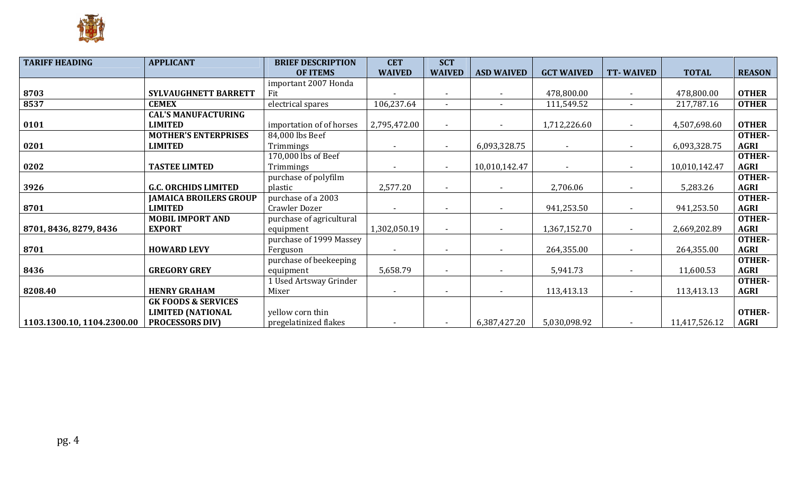

| <b>TARIFF HEADING</b>      | <b>APPLICANT</b><br><b>BRIEF DESCRIPTION</b> |                          | <b>CET</b>    | <b>SCT</b>     |                   |                          |                  |               |               |
|----------------------------|----------------------------------------------|--------------------------|---------------|----------------|-------------------|--------------------------|------------------|---------------|---------------|
|                            |                                              | <b>OF ITEMS</b>          | <b>WAIVED</b> | <b>WAIVED</b>  | <b>ASD WAIVED</b> | <b>GCT WAIVED</b>        | <b>TT-WAIVED</b> | <b>TOTAL</b>  | <b>REASON</b> |
|                            |                                              | important 2007 Honda     |               |                |                   |                          |                  |               |               |
| 8703                       | SYLVAUGHNETT BARRETT                         | Fit                      |               |                |                   | 478,800.00               |                  | 478,800.00    | <b>OTHER</b>  |
| 8537                       | <b>CEMEX</b>                                 | electrical spares        | 106,237.64    |                |                   | 111,549.52               |                  | 217,787.16    | <b>OTHER</b>  |
|                            | <b>CAL'S MANUFACTURING</b>                   |                          |               |                |                   |                          |                  |               |               |
| 0101                       | <b>LIMITED</b>                               | importation of of horses | 2,795,472.00  | $\sim$         |                   | 1,712,226.60             |                  | 4,507,698.60  | <b>OTHER</b>  |
|                            | <b>MOTHER'S ENTERPRISES</b>                  | 84,000 lbs Beef          |               |                |                   |                          |                  |               | <b>OTHER-</b> |
| 0201                       | <b>LIMITED</b>                               | Trimmings                |               | $\blacksquare$ | 6,093,328.75      | $\blacksquare$           |                  | 6,093,328.75  | <b>AGRI</b>   |
|                            |                                              | 170,000 lbs of Beef      |               |                |                   |                          |                  |               | <b>OTHER-</b> |
| 0202                       | <b>TASTEE LIMTED</b>                         | Trimmings                |               | $\sim$         | 10,010,142.47     | $\overline{\phantom{a}}$ |                  | 10,010,142.47 | <b>AGRI</b>   |
|                            |                                              | purchase of polyfilm     |               |                |                   |                          |                  |               | <b>OTHER-</b> |
| 3926                       | <b>G.C. ORCHIDS LIMITED</b>                  | plastic                  | 2,577.20      |                |                   | 2,706.06                 |                  | 5,283.26      | <b>AGRI</b>   |
|                            | <b>JAMAICA BROILERS GROUP</b>                | purchase of a 2003       |               |                |                   |                          |                  |               | <b>OTHER-</b> |
| 8701                       | <b>LIMITED</b>                               | Crawler Dozer            |               | $\sim$         |                   | 941,253.50               |                  | 941,253.50    | <b>AGRI</b>   |
|                            | <b>MOBIL IMPORT AND</b>                      | purchase of agricultural |               |                |                   |                          |                  |               | <b>OTHER-</b> |
| 8701, 8436, 8279, 8436     | <b>EXPORT</b>                                | equipment                | 1,302,050.19  | $\sim$         |                   | 1,367,152.70             |                  | 2,669,202.89  | <b>AGRI</b>   |
|                            |                                              | purchase of 1999 Massey  |               |                |                   |                          |                  |               | <b>OTHER-</b> |
| 8701                       | <b>HOWARD LEVY</b>                           | Ferguson                 |               | $\sim$         |                   | 264,355.00               | $\sim$           | 264,355.00    | <b>AGRI</b>   |
|                            |                                              | purchase of beekeeping   |               |                |                   |                          |                  |               | <b>OTHER-</b> |
| 8436                       | <b>GREGORY GREY</b>                          | equipment                | 5,658.79      | $\sim$         |                   | 5,941.73                 |                  | 11,600.53     | <b>AGRI</b>   |
|                            |                                              | 1 Used Artsway Grinder   |               |                |                   |                          |                  |               | <b>OTHER-</b> |
| 8208.40                    | <b>HENRY GRAHAM</b>                          | Mixer                    |               |                |                   | 113,413.13               |                  | 113,413.13    | <b>AGRI</b>   |
|                            | <b>GK FOODS &amp; SERVICES</b>               |                          |               |                |                   |                          |                  |               |               |
|                            | <b>LIMITED (NATIONAL</b>                     | yellow corn thin         |               |                |                   |                          |                  |               | <b>OTHER-</b> |
| 1103.1300.10, 1104.2300.00 | <b>PROCESSORS DIV)</b>                       | pregelatinized flakes    |               | $\sim$         | 6,387,427.20      | 5,030,098.92             | $\sim$           | 11,417,526.12 | <b>AGRI</b>   |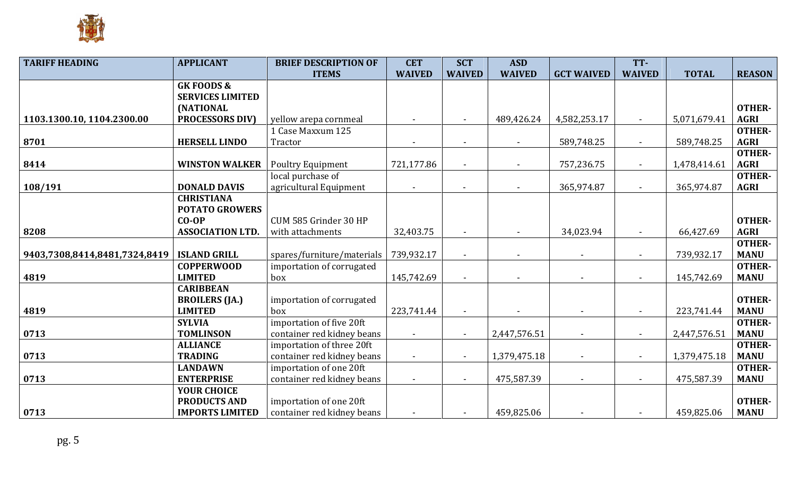

| <b>TARIFF HEADING</b>         | <b>APPLICANT</b>        | <b>BRIEF DESCRIPTION OF</b> | <b>CET</b>     | <b>SCT</b>     | <b>ASD</b>    |                   | TT-                      |              |               |
|-------------------------------|-------------------------|-----------------------------|----------------|----------------|---------------|-------------------|--------------------------|--------------|---------------|
|                               |                         | <b>ITEMS</b>                | <b>WAIVED</b>  | <b>WAIVED</b>  | <b>WAIVED</b> | <b>GCT WAIVED</b> | <b>WAIVED</b>            | <b>TOTAL</b> | <b>REASON</b> |
|                               | <b>GKFOODS &amp;</b>    |                             |                |                |               |                   |                          |              |               |
|                               | <b>SERVICES LIMITED</b> |                             |                |                |               |                   |                          |              |               |
|                               | <b>(NATIONAL</b>        |                             |                |                |               |                   |                          |              | <b>OTHER-</b> |
| 1103.1300.10, 1104.2300.00    | <b>PROCESSORS DIV)</b>  | yellow arepa cornmeal       |                | $\blacksquare$ | 489,426.24    | 4,582,253.17      |                          | 5,071,679.41 | <b>AGRI</b>   |
|                               |                         | 1 Case Maxxum 125           |                |                |               |                   |                          |              | <b>OTHER-</b> |
| 8701                          | <b>HERSELL LINDO</b>    | Tractor                     |                |                |               | 589,748.25        | $\blacksquare$           | 589,748.25   | <b>AGRI</b>   |
|                               |                         |                             |                |                |               |                   |                          |              | <b>OTHER-</b> |
| 8414                          | <b>WINSTON WALKER</b>   | <b>Poultry Equipment</b>    | 721,177.86     |                |               | 757,236.75        | $\sim$                   | 1,478,414.61 | <b>AGRI</b>   |
|                               |                         | local purchase of           |                |                |               |                   |                          |              | <b>OTHER-</b> |
| 108/191                       | <b>DONALD DAVIS</b>     | agricultural Equipment      | $\blacksquare$ | $\blacksquare$ | $\sim$        | 365,974.87        | $\blacksquare$           | 365,974.87   | <b>AGRI</b>   |
|                               | <b>CHRISTIANA</b>       |                             |                |                |               |                   |                          |              |               |
|                               | <b>POTATO GROWERS</b>   |                             |                |                |               |                   |                          |              |               |
|                               | $CO-OP$                 | CUM 585 Grinder 30 HP       |                |                |               |                   |                          |              | <b>OTHER-</b> |
| 8208                          | <b>ASSOCIATION LTD.</b> | with attachments            | 32,403.75      |                |               | 34,023.94         |                          | 66,427.69    | <b>AGRI</b>   |
|                               |                         |                             |                |                |               |                   |                          |              | <b>OTHER-</b> |
| 9403,7308,8414,8481,7324,8419 | <b>ISLAND GRILL</b>     | spares/furniture/materials  | 739,932.17     | $\blacksquare$ | $\sim$        |                   | $\overline{\phantom{a}}$ | 739,932.17   | <b>MANU</b>   |
|                               | <b>COPPERWOOD</b>       | importation of corrugated   |                |                |               |                   |                          |              | <b>OTHER-</b> |
| 4819                          | <b>LIMITED</b>          | box                         | 145,742.69     |                |               |                   |                          | 145,742.69   | <b>MANU</b>   |
|                               | <b>CARIBBEAN</b>        |                             |                |                |               |                   |                          |              |               |
|                               | <b>BROILERS</b> (JA.)   | importation of corrugated   |                |                |               |                   |                          |              | <b>OTHER-</b> |
| 4819                          | <b>LIMITED</b>          | box                         | 223,741.44     |                |               |                   |                          | 223,741.44   | <b>MANU</b>   |
|                               | <b>SYLVIA</b>           | importation of five 20ft    |                |                |               |                   |                          |              | <b>OTHER-</b> |
| 0713                          | <b>TOMLINSON</b>        | container red kidney beans  |                | $\blacksquare$ | 2,447,576.51  |                   |                          | 2,447,576.51 | <b>MANU</b>   |
|                               | <b>ALLIANCE</b>         | importation of three 20ft   |                |                |               |                   |                          |              | <b>OTHER-</b> |
| 0713                          | <b>TRADING</b>          | container red kidney beans  | $\blacksquare$ | $\blacksquare$ | 1,379,475.18  | $\blacksquare$    | $\blacksquare$           | 1,379,475.18 | <b>MANU</b>   |
|                               | <b>LANDAWN</b>          | importation of one 20ft     |                |                |               |                   |                          |              | <b>OTHER-</b> |
| 0713                          | <b>ENTERPRISE</b>       | container red kidney beans  |                | $\sim$         | 475,587.39    |                   |                          | 475,587.39   | <b>MANU</b>   |
|                               | <b>YOUR CHOICE</b>      |                             |                |                |               |                   |                          |              |               |
|                               | <b>PRODUCTS AND</b>     | importation of one 20ft     |                |                |               |                   |                          |              | <b>OTHER-</b> |
| 0713                          | <b>IMPORTS LIMITED</b>  | container red kidney beans  |                |                | 459,825.06    |                   |                          | 459,825.06   | <b>MANU</b>   |